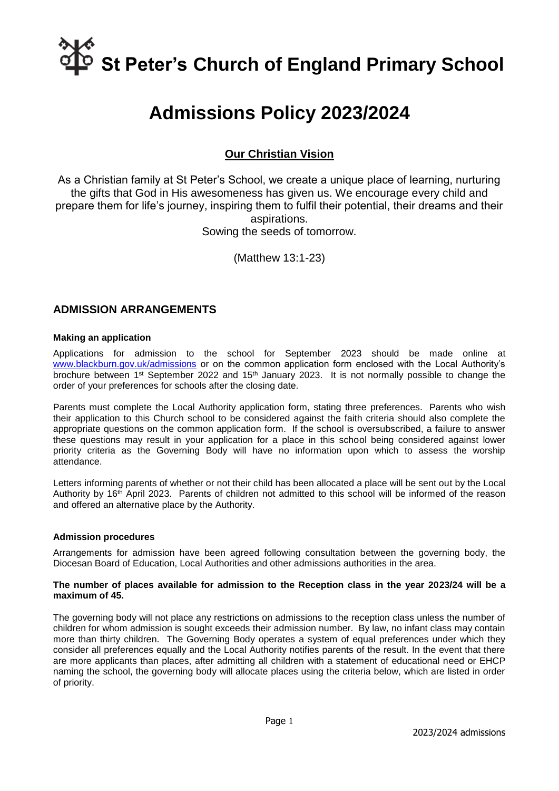# **St Peter's Church of England Primary School**

# **Admissions Policy 2023/2024**

## **Our Christian Vision**

As a Christian family at St Peter's School, we create a unique place of learning, nurturing the gifts that God in His awesomeness has given us. We encourage every child and prepare them for life's journey, inspiring them to fulfil their potential, their dreams and their aspirations. Sowing the seeds of tomorrow.

(Matthew 13:1-23)

### **ADMISSION ARRANGEMENTS**

#### **Making an application**

Applications for admission to the school for September 2023 should be made online at [www.blackburn.gov.uk/admissions](http://www.blackburn.gov.uk/admissions) or on the common application form enclosed with the Local Authority's brochure between 1<sup>st</sup> September 2022 and 15<sup>th</sup> January 2023. It is not normally possible to change the order of your preferences for schools after the closing date.

Parents must complete the Local Authority application form, stating three preferences. Parents who wish their application to this Church school to be considered against the faith criteria should also complete the appropriate questions on the common application form. If the school is oversubscribed, a failure to answer these questions may result in your application for a place in this school being considered against lower priority criteria as the Governing Body will have no information upon which to assess the worship attendance.

Letters informing parents of whether or not their child has been allocated a place will be sent out by the Local Authority by 16<sup>th</sup> April 2023. Parents of children not admitted to this school will be informed of the reason and offered an alternative place by the Authority.

#### **Admission procedures**

Arrangements for admission have been agreed following consultation between the governing body, the Diocesan Board of Education, Local Authorities and other admissions authorities in the area.

#### **The number of places available for admission to the Reception class in the year 2023/24 will be a maximum of 45.**

The governing body will not place any restrictions on admissions to the reception class unless the number of children for whom admission is sought exceeds their admission number. By law, no infant class may contain more than thirty children. The Governing Body operates a system of equal preferences under which they consider all preferences equally and the Local Authority notifies parents of the result. In the event that there are more applicants than places, after admitting all children with a statement of educational need or EHCP naming the school, the governing body will allocate places using the criteria below, which are listed in order of priority.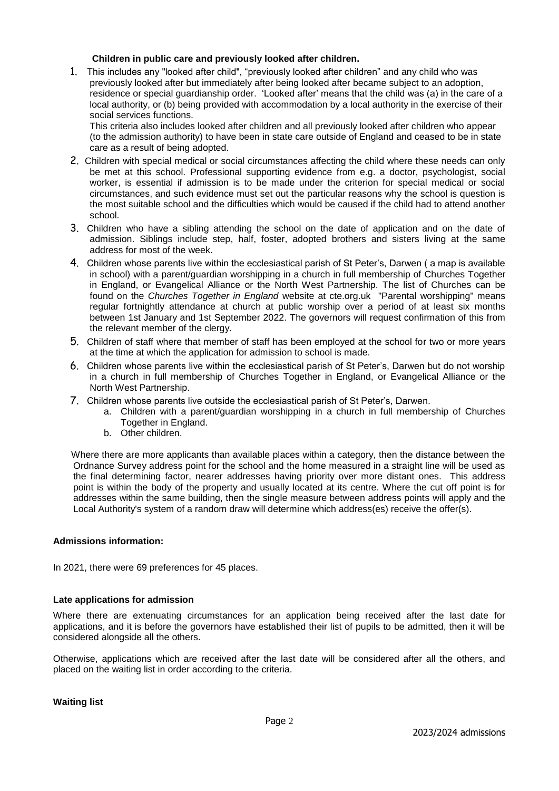#### **Children in public care and previously looked after children.**

1. This includes any "looked after child", "previously looked after children" and any child who was previously looked after but immediately after being looked after became subject to an adoption, residence or special guardianship order. 'Looked after' means that the child was (a) in the care of a local authority, or (b) being provided with accommodation by a local authority in the exercise of their social services functions.

This criteria also includes looked after children and all previously looked after children who appear (to the admission authority) to have been in state care outside of England and ceased to be in state care as a result of being adopted.

- 2. Children with special medical or social circumstances affecting the child where these needs can only be met at this school. Professional supporting evidence from e.g. a doctor, psychologist, social worker, is essential if admission is to be made under the criterion for special medical or social circumstances, and such evidence must set out the particular reasons why the school is question is the most suitable school and the difficulties which would be caused if the child had to attend another school.
- 3. Children who have a sibling attending the school on the date of application and on the date of admission. Siblings include step, half, foster, adopted brothers and sisters living at the same address for most of the week.
- 4. Children whose parents live within the ecclesiastical parish of St Peter's, Darwen ( a map is available in school) with a parent/guardian worshipping in a church in full membership of Churches Together in England, or Evangelical Alliance or the North West Partnership. The list of Churches can be found on the *Churches Together in England* website at cte.org.uk "Parental worshipping" means regular fortnightly attendance at church at public worship over a period of at least six months between 1st January and 1st September 2022. The governors will request confirmation of this from the relevant member of the clergy.
- 5. Children of staff where that member of staff has been employed at the school for two or more years at the time at which the application for admission to school is made.
- 6. Children whose parents live within the ecclesiastical parish of St Peter's, Darwen but do not worship in a church in full membership of Churches Together in England, or Evangelical Alliance or the North West Partnership.
- 7. Children whose parents live outside the ecclesiastical parish of St Peter's, Darwen.
	- a. Children with a parent/guardian worshipping in a church in full membership of Churches Together in England.
	- b. Other children.

 Where there are more applicants than available places within a category, then the distance between the Ordnance Survey address point for the school and the home measured in a straight line will be used as the final determining factor, nearer addresses having priority over more distant ones. This address point is within the body of the property and usually located at its centre. Where the cut off point is for addresses within the same building, then the single measure between address points will apply and the Local Authority's system of a random draw will determine which address(es) receive the offer(s).

#### **Admissions information:**

In 2021, there were 69 preferences for 45 places.

#### **Late applications for admission**

Where there are extenuating circumstances for an application being received after the last date for applications, and it is before the governors have established their list of pupils to be admitted, then it will be considered alongside all the others.

Otherwise, applications which are received after the last date will be considered after all the others, and placed on the waiting list in order according to the criteria.

**Waiting list**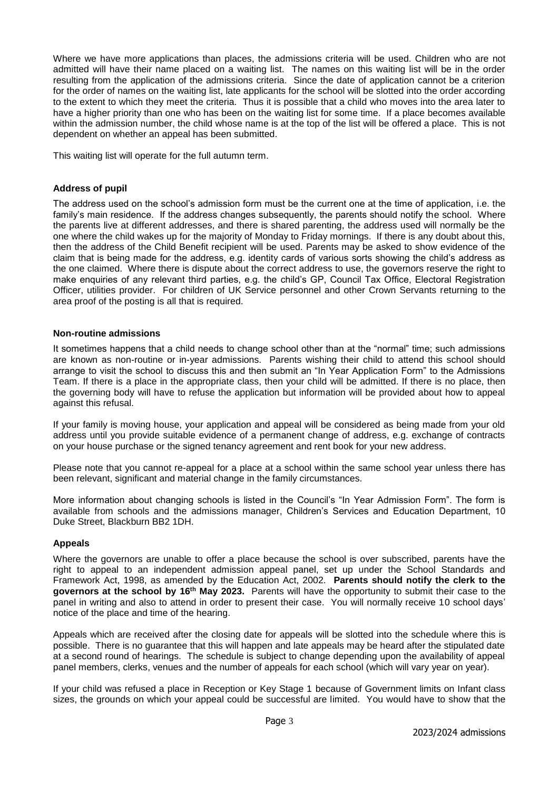Where we have more applications than places, the admissions criteria will be used. Children who are not admitted will have their name placed on a waiting list. The names on this waiting list will be in the order resulting from the application of the admissions criteria. Since the date of application cannot be a criterion for the order of names on the waiting list, late applicants for the school will be slotted into the order according to the extent to which they meet the criteria. Thus it is possible that a child who moves into the area later to have a higher priority than one who has been on the waiting list for some time. If a place becomes available within the admission number, the child whose name is at the top of the list will be offered a place. This is not dependent on whether an appeal has been submitted.

This waiting list will operate for the full autumn term.

#### **Address of pupil**

The address used on the school's admission form must be the current one at the time of application, i.e. the family's main residence. If the address changes subsequently, the parents should notify the school. Where the parents live at different addresses, and there is shared parenting, the address used will normally be the one where the child wakes up for the majority of Monday to Friday mornings. If there is any doubt about this, then the address of the Child Benefit recipient will be used. Parents may be asked to show evidence of the claim that is being made for the address, e.g. identity cards of various sorts showing the child's address as the one claimed. Where there is dispute about the correct address to use, the governors reserve the right to make enquiries of any relevant third parties, e.g. the child's GP, Council Tax Office, Electoral Registration Officer, utilities provider. For children of UK Service personnel and other Crown Servants returning to the area proof of the posting is all that is required.

#### **Non-routine admissions**

It sometimes happens that a child needs to change school other than at the "normal" time; such admissions are known as non-routine or in-year admissions. Parents wishing their child to attend this school should arrange to visit the school to discuss this and then submit an "In Year Application Form" to the Admissions Team. If there is a place in the appropriate class, then your child will be admitted. If there is no place, then the governing body will have to refuse the application but information will be provided about how to appeal against this refusal.

If your family is moving house, your application and appeal will be considered as being made from your old address until you provide suitable evidence of a permanent change of address, e.g. exchange of contracts on your house purchase or the signed tenancy agreement and rent book for your new address.

Please note that you cannot re-appeal for a place at a school within the same school year unless there has been relevant, significant and material change in the family circumstances.

More information about changing schools is listed in the Council's "In Year Admission Form". The form is available from schools and the admissions manager, Children's Services and Education Department, 10 Duke Street, Blackburn BB2 1DH.

#### **Appeals**

Where the governors are unable to offer a place because the school is over subscribed, parents have the right to appeal to an independent admission appeal panel, set up under the School Standards and Framework Act, 1998, as amended by the Education Act, 2002. **Parents should notify the clerk to the governors at the school by 16th May 2023.** Parents will have the opportunity to submit their case to the panel in writing and also to attend in order to present their case. You will normally receive 10 school days' notice of the place and time of the hearing.

Appeals which are received after the closing date for appeals will be slotted into the schedule where this is possible. There is no guarantee that this will happen and late appeals may be heard after the stipulated date at a second round of hearings. The schedule is subject to change depending upon the availability of appeal panel members, clerks, venues and the number of appeals for each school (which will vary year on year).

If your child was refused a place in Reception or Key Stage 1 because of Government limits on Infant class sizes, the grounds on which your appeal could be successful are limited. You would have to show that the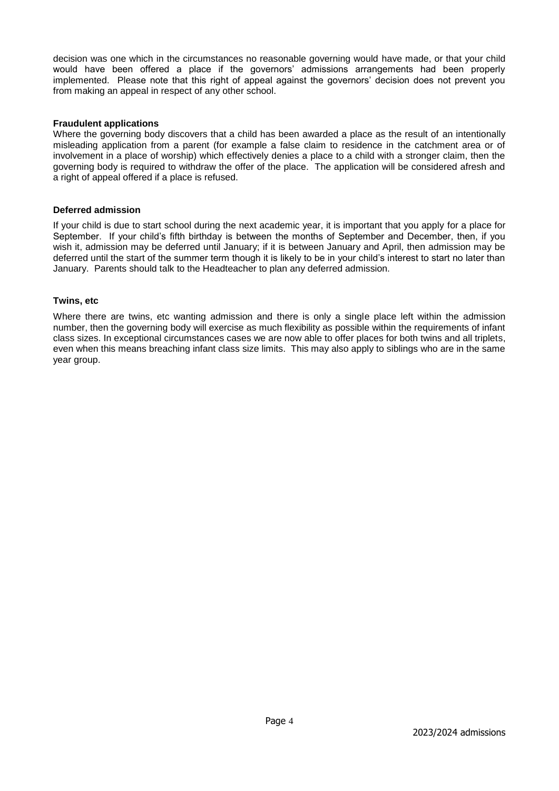decision was one which in the circumstances no reasonable governing would have made, or that your child would have been offered a place if the governors' admissions arrangements had been properly implemented. Please note that this right of appeal against the governors' decision does not prevent you from making an appeal in respect of any other school.

#### **Fraudulent applications**

Where the governing body discovers that a child has been awarded a place as the result of an intentionally misleading application from a parent (for example a false claim to residence in the catchment area or of involvement in a place of worship) which effectively denies a place to a child with a stronger claim, then the governing body is required to withdraw the offer of the place. The application will be considered afresh and a right of appeal offered if a place is refused.

#### **Deferred admission**

If your child is due to start school during the next academic year, it is important that you apply for a place for September. If your child's fifth birthday is between the months of September and December, then, if you wish it, admission may be deferred until January; if it is between January and April, then admission may be deferred until the start of the summer term though it is likely to be in your child's interest to start no later than January. Parents should talk to the Headteacher to plan any deferred admission.

#### **Twins, etc**

Where there are twins, etc wanting admission and there is only a single place left within the admission number, then the governing body will exercise as much flexibility as possible within the requirements of infant class sizes. In exceptional circumstances cases we are now able to offer places for both twins and all triplets, even when this means breaching infant class size limits. This may also apply to siblings who are in the same year group.